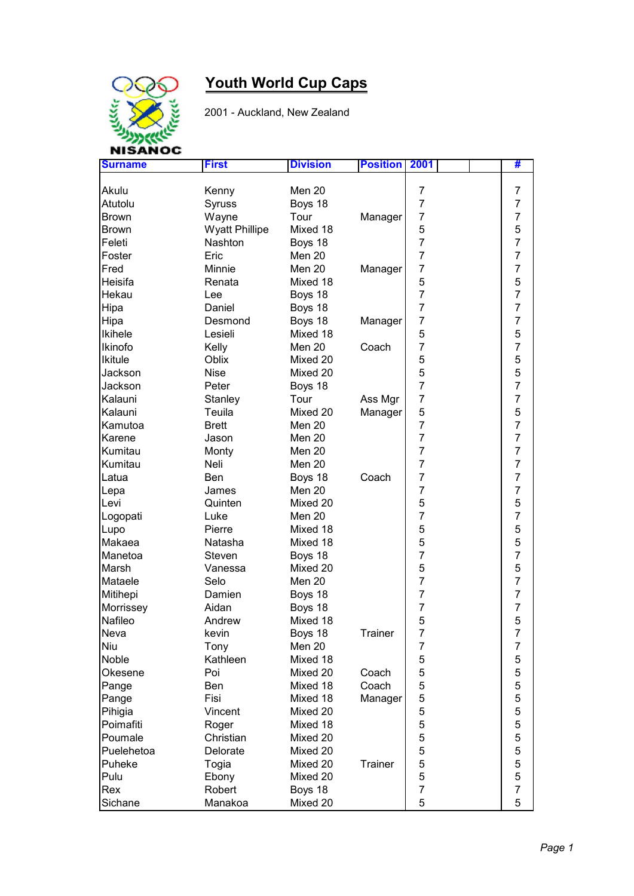

## **Youth World Cup Caps**

2001 - Auckland, New Zealand

| <b>Surname</b> | <b>First</b>          | <b>Division</b> | <b>Position</b> | 2001           | #              |
|----------------|-----------------------|-----------------|-----------------|----------------|----------------|
|                |                       |                 |                 |                |                |
| Akulu          | Kenny                 | Men 20          |                 | 7              | 7              |
| Atutolu        | Syruss                | Boys 18         |                 | $\overline{7}$ | $\overline{7}$ |
| Brown          | Wayne                 | Tour            | Manager         | $\overline{7}$ | $\overline{7}$ |
| Brown          | <b>Wyatt Phillipe</b> | Mixed 18        |                 | 5              | 5              |
| Feleti         | Nashton               | Boys 18         |                 | $\overline{7}$ | $\overline{7}$ |
| Foster         | Eric                  | Men 20          |                 | $\overline{7}$ | $\overline{7}$ |
| Fred           | Minnie                | Men 20          | Manager         | $\overline{7}$ | $\overline{7}$ |
| Heisifa        | Renata                | Mixed 18        |                 | 5              | $\mathbf 5$    |
| Hekau          | Lee                   | Boys 18         |                 | $\overline{7}$ | $\overline{7}$ |
| Hipa           | Daniel                | Boys 18         |                 | $\overline{7}$ | $\overline{7}$ |
| Hipa           | Desmond               | Boys 18         | Manager         | $\overline{7}$ | $\overline{7}$ |
| <b>Ikihele</b> | Lesieli               | Mixed 18        |                 | 5              | 5              |
| Ikinofo        | Kelly                 | Men 20          | Coach           | $\overline{7}$ | 7              |
| <b>Ikitule</b> | Oblix                 | Mixed 20        |                 | 5              | 5              |
| Jackson        | <b>Nise</b>           | Mixed 20        |                 | 5              | 5              |
| Jackson        | Peter                 | Boys 18         |                 | $\overline{7}$ | $\overline{7}$ |
| Kalauni        | Stanley               | Tour            | Ass Mgr         | 7              | $\overline{7}$ |
| Kalauni        | Teuila                | Mixed 20        | Manager         | 5              | 5              |
| Kamutoa        | <b>Brett</b>          | Men 20          |                 | 7              | $\overline{7}$ |
| Karene         | Jason                 | Men 20          |                 | $\overline{7}$ | $\overline{7}$ |
| Kumitau        | Monty                 | Men 20          |                 | $\overline{7}$ | $\overline{7}$ |
| Kumitau        | Neli                  | Men 20          |                 | $\overline{7}$ | $\overline{7}$ |
| Latua          | Ben                   | Boys 18         | Coach           | $\overline{7}$ | $\overline{7}$ |
| Lepa           | James                 | Men 20          |                 | $\overline{7}$ | $\overline{7}$ |
| Levi           | Quinten               | Mixed 20        |                 | 5              | 5              |
| Logopati       | Luke                  | Men 20          |                 | $\overline{7}$ | $\overline{7}$ |
| Lupo           | Pierre                | Mixed 18        |                 | 5              | 5              |
| Makaea         | Natasha               | Mixed 18        |                 | 5              | 5              |
| Manetoa        | Steven                | Boys 18         |                 | $\overline{7}$ | $\overline{7}$ |
| Marsh          | Vanessa               | Mixed 20        |                 | 5              | 5              |
| Mataele        | Selo                  | Men 20          |                 | $\overline{7}$ | $\overline{7}$ |
| Mitihepi       | Damien                | Boys 18         |                 | 7              | $\overline{7}$ |
| Morrissey      | Aidan                 | Boys 18         |                 | 7              | $\overline{7}$ |
| Nafileo        | Andrew                | Mixed 18        |                 | 5              | 5              |
| Neva           | kevin                 | Boys 18         | Trainer         | $\overline{7}$ | $\overline{7}$ |
| Niu            | Tony                  | Men 20          |                 | 7              | $\overline{7}$ |
| <b>Noble</b>   | Kathleen              | Mixed 18        |                 | 5              | 5              |
| Okesene        | Poi                   | Mixed 20        | Coach           | 5              | 5              |
| Pange          | Ben                   | Mixed 18        | Coach           | 5              | 5              |
| Pange          | Fisi                  | Mixed 18        | Manager         | 5              | 5              |
| Pihigia        | Vincent               | Mixed 20        |                 | 5              | 5              |
| Poimafiti      | Roger                 | Mixed 18        |                 | 5              | 5              |
| Poumale        | Christian             | Mixed 20        |                 | 5              | 5              |
| Puelehetoa     | Delorate              | Mixed 20        |                 | 5              | 5              |
| Puheke         | Togia                 | Mixed 20        | Trainer         | 5              | 5              |
| Pulu           | Ebony                 | Mixed 20        |                 | 5              | 5              |
| Rex            | Robert                | Boys 18         |                 | $\overline{7}$ | $\overline{7}$ |
| Sichane        | Manakoa               | Mixed 20        |                 | 5              | 5              |